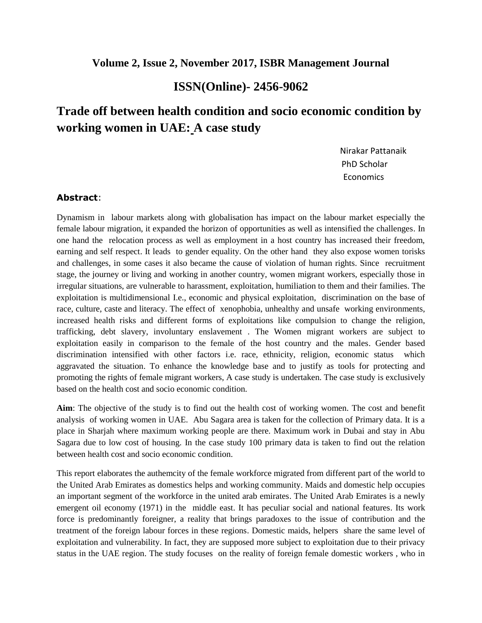## **Volume 2, Issue 2, November 2017, ISBR Management Journal**

## **ISSN(Online)- 2456-9062**

## **Trade off between health condition and socio economic condition by working women in UAE: A case study**

Nirakar Pattanaik PhD Scholar **Economics** 

## **Abstract**:

Dynamism in labour markets along with globalisation has impact on the labour market especially the female labour migration, it expanded the horizon of opportunities as well as intensified the challenges. In one hand the relocation process as well as employment in a host country has increased their freedom, earning and self respect. It leads to gender equality. On the other hand they also expose women torisks and challenges, in some cases it also became the cause of violation of human rights. Since recruitment stage, the journey or living and working in another country, women migrant workers, especially those in irregular situations, are vulnerable to harassment, exploitation, humiliation to them and their families. The exploitation is multidimensional I.e., economic and physical exploitation, discrimination on the base of race, culture, caste and literacy. The effect of xenophobia, unhealthy and unsafe working environments, increased health risks and different forms of exploitations like compulsion to change the religion, trafficking, debt slavery, involuntary enslavement . The Women migrant workers are subject to exploitation easily in comparison to the female of the host country and the males. Gender based discrimination intensified with other factors i.e. race, ethnicity, religion, economic status which aggravated the situation. To enhance the knowledge base and to justify as tools for protecting and promoting the rights of female migrant workers, A case study is undertaken. The case study is exclusively based on the health cost and socio economic condition.

**Aim**: The objective of the study is to find out the health cost of working women. The cost and benefit analysis of working women in UAE. Abu Sagara area is taken for the collection of Primary data. It is a place in Sharjah where maximum working people are there. Maximum work in Dubai and stay in Abu Sagara due to low cost of housing. In the case study 100 primary data is taken to find out the relation between health cost and socio economic condition.

This report elaborates the authemcity of the female workforce migrated from different part of the world to the United Arab Emirates as domestics helps and working community. Maids and domestic help occupies an important segment of the workforce in the united arab emirates. The United Arab Emirates is a newly emergent oil economy (1971) in the middle east. It has peculiar social and national features. Its work force is predominantly foreigner, a reality that brings paradoxes to the issue of contribution and the treatment of the foreign labour forces in these regions. Domestic maids, helpers share the same level of exploitation and vulnerability. In fact, they are supposed more subject to exploitation due to their privacy status in the UAE region. The study focuses on the reality of foreign female domestic workers , who in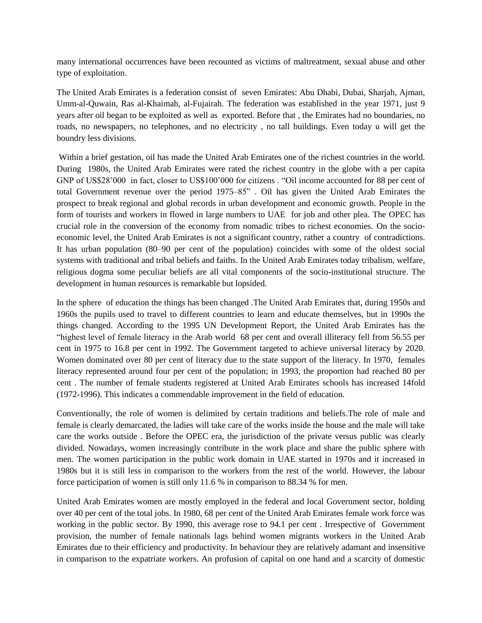many international occurrences have been recounted as victims of maltreatment, sexual abuse and other type of exploitation.

The United Arab Emirates is a federation consist of seven Emirates: Abu Dhabi, Dubai, Sharjah, Ajman, Umm-al-Quwain, Ras al-Khaimah, al-Fujairah. The federation was established in the year 1971, just 9 years after oil began to be exploited as well as exported. Before that , the Emirates had no boundaries, no roads, no newspapers, no telephones, and no electricity , no tall buildings. Even today u will get the boundry less divisions.

Within a brief gestation, oil has made the United Arab Emirates one of the richest countries in the world. During 1980s, the United Arab Emirates were rated the richest country in the globe with a per capita GNP of US\$28'000 in fact, closer to US\$100'000 for citizens . "Oil income accounted for 88 per cent of total Government revenue over the period 1975–85" . Oil has given the United Arab Emirates the prospect to break regional and global records in urban development and economic growth. People in the form of tourists and workers in flowed in large numbers to UAE for job and other plea. The OPEC has crucial role in the conversion of the economy from nomadic tribes to richest economies. On the socioeconomic level, the United Arab Emirates is not a significant country, rather a country of contradictions. It has urban population (80–90 per cent of the population) coincides with some of the oldest social systems with traditional and tribal beliefs and faiths. In the United Arab Emirates today tribalism, welfare, religious dogma some peculiar beliefs are all vital components of the socio-institutional structure. The development in human resources is remarkable but lopsided.

In the sphere of education the things has been changed .The United Arab Emirates that, during 1950s and 1960s the pupils used to travel to different countries to learn and educate themselves, but in 1990s the things changed. According to the 1995 UN Development Report, the United Arab Emirates has the "highest level of female literacy in the Arab world 68 per cent and overall illiteracy fell from 56.55 per cent in 1975 to 16.8 per cent in 1992. The Government targeted to achieve universal literacy by 2020. Women dominated over 80 per cent of literacy due to the state support of the literacy. In 1970, females literacy represented around four per cent of the population; in 1993, the proportion had reached 80 per cent . The number of female students registered at United Arab Emirates schools has increased 14fold (1972-1996). This indicates a commendable improvement in the field of education.

Conventionally, the role of women is delimited by certain traditions and beliefs.The role of male and female is clearly demarcated, the ladies will take care of the works inside the house and the male will take care the works outside . Before the OPEC era, the jurisdiction of the private versus public was clearly divided. Nowadays, women increasingly contribute in the work place and share the public sphere with men. The women participation in the public work domain in UAE started in 1970s and it increased in 1980s but it is still less in comparison to the workers from the rest of the world. However, the labour force participation of women is still only 11.6 % in comparison to 88.34 % for men.

United Arab Emirates women are mostly employed in the federal and local Government sector, holding over 40 per cent of the total jobs. In 1980, 68 per cent of the United Arab Emirates female work force was working in the public sector. By 1990, this average rose to 94.1 per cent . Irrespective of Government provision, the number of female nationals lags behind women migrants workers in the United Arab Emirates due to their efficiency and productivity. In behaviour they are relatively adamant and insensitive in comparison to the expatriate workers. An profusion of capital on one hand and a scarcity of domestic